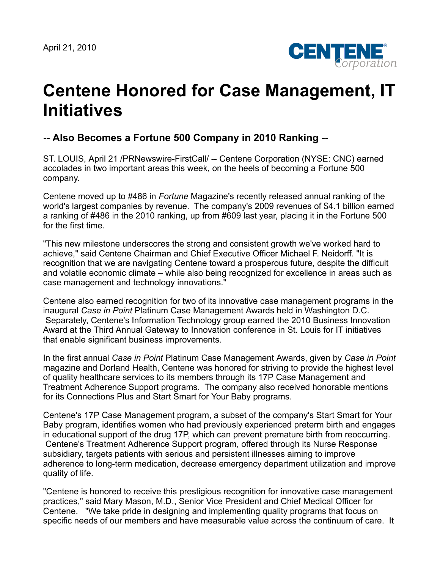

## **Centene Honored for Case Management, IT Initiatives**

## **-- Also Becomes a Fortune 500 Company in 2010 Ranking --**

ST. LOUIS, April 21 /PRNewswire-FirstCall/ -- Centene Corporation (NYSE: CNC) earned accolades in two important areas this week, on the heels of becoming a Fortune 500 company.

Centene moved up to #486 in *Fortune* Magazine's recently released annual ranking of the world's largest companies by revenue. The company's 2009 revenues of \$4.1 billion earned a ranking of #486 in the 2010 ranking, up from #609 last year, placing it in the Fortune 500 for the first time.

"This new milestone underscores the strong and consistent growth we've worked hard to achieve," said Centene Chairman and Chief Executive Officer Michael F. Neidorff. "It is recognition that we are navigating Centene toward a prosperous future, despite the difficult and volatile economic climate – while also being recognized for excellence in areas such as case management and technology innovations."

Centene also earned recognition for two of its innovative case management programs in the inaugural *Case in Point* Platinum Case Management Awards held in Washington D.C. Separately, Centene's Information Technology group earned the 2010 Business Innovation Award at the Third Annual Gateway to Innovation conference in St. Louis for IT initiatives that enable significant business improvements.

In the first annual *Case in Point* Platinum Case Management Awards, given by *Case in Point* magazine and Dorland Health, Centene was honored for striving to provide the highest level of quality healthcare services to its members through its 17P Case Management and Treatment Adherence Support programs. The company also received honorable mentions for its Connections Plus and Start Smart for Your Baby programs.

Centene's 17P Case Management program, a subset of the company's Start Smart for Your Baby program, identifies women who had previously experienced preterm birth and engages in educational support of the drug 17P, which can prevent premature birth from reoccurring. Centene's Treatment Adherence Support program, offered through its Nurse Response subsidiary, targets patients with serious and persistent illnesses aiming to improve adherence to long-term medication, decrease emergency department utilization and improve quality of life.

"Centene is honored to receive this prestigious recognition for innovative case management practices," said Mary Mason, M.D., Senior Vice President and Chief Medical Officer for Centene. "We take pride in designing and implementing quality programs that focus on specific needs of our members and have measurable value across the continuum of care. It